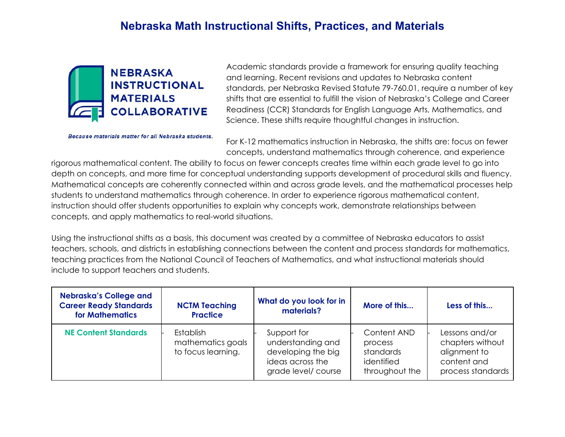

Because materials matter for all Nebraska students.

Academic standards provide a framework for ensuring quality teaching and learning. Recent revisions and updates to Nebraska content standards, per Nebraska Revised Statute 79-760.01, require a number of key shifts that are essential to fulfill the vision of Nebraska's College and Career Readiness (CCR) Standards for English Language Arts, Mathematics, and Science. These shifts require thoughtful changes in instruction.

For K-12 mathematics instruction in Nebraska, the shifts are: focus on fewer concepts, understand mathematics through coherence, and experience

rigorous mathematical content. The ability to focus on fewer concepts creates time within each grade level to go into depth on concepts, and more time for conceptual understanding supports development of procedural skills and fluency. Mathematical concepts are coherently connected within and across grade levels, and the mathematical processes help students to understand mathematics through coherence. In order to experience rigorous mathematical content, instruction should offer students opportunities to explain why concepts work, demonstrate relationships between concepts, and apply mathematics to real-world situations.

Using the instructional shifts as a basis, this document was created by a committee of Nebraska educators to assist teachers, schools, and districts in establishing connections between the content and process standards for mathematics, teaching practices from the National Council of Teachers of Mathematics, and what instructional materials should include to support teachers and students.

| <b>Nebraska's College and</b><br><b>Career Ready Standards</b><br>for Mathematics | <b>NCTM Teaching</b><br><b>Practice</b>                     | What do you look for in<br>materials?                                                             | More of this                                                        | Less of this                                                                           |
|-----------------------------------------------------------------------------------|-------------------------------------------------------------|---------------------------------------------------------------------------------------------------|---------------------------------------------------------------------|----------------------------------------------------------------------------------------|
| <b>NE Content Standards</b>                                                       | <b>Establish</b><br>mathematics goals<br>to focus learning. | Support for<br>understanding and<br>developing the big<br>ideas across the<br>grade level/ course | Content AND<br>process<br>standards<br>identified<br>throughout the | Lessons and/or<br>chapters without<br>alignment to<br>content and<br>process standards |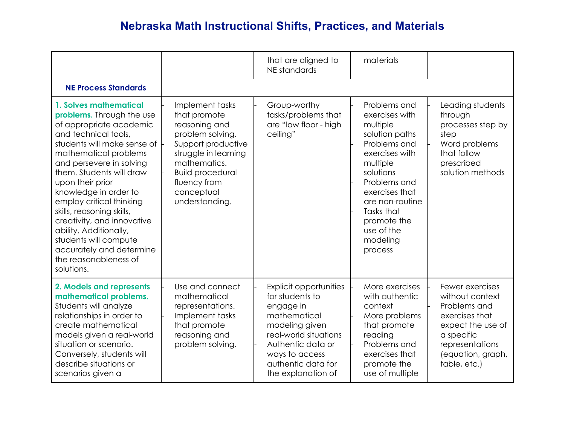|                                                                                                                                                                                                                                                                                                                                                                                                                                                                                  |                                                                                                                                                                                                               | that are aligned to<br>NE standards                                                                                                                                                                  | materials                                                                                                                                                                                                                                      |                                                                                                                                                                 |
|----------------------------------------------------------------------------------------------------------------------------------------------------------------------------------------------------------------------------------------------------------------------------------------------------------------------------------------------------------------------------------------------------------------------------------------------------------------------------------|---------------------------------------------------------------------------------------------------------------------------------------------------------------------------------------------------------------|------------------------------------------------------------------------------------------------------------------------------------------------------------------------------------------------------|------------------------------------------------------------------------------------------------------------------------------------------------------------------------------------------------------------------------------------------------|-----------------------------------------------------------------------------------------------------------------------------------------------------------------|
| <b>NE Process Standards</b>                                                                                                                                                                                                                                                                                                                                                                                                                                                      |                                                                                                                                                                                                               |                                                                                                                                                                                                      |                                                                                                                                                                                                                                                |                                                                                                                                                                 |
| 1. Solves mathematical<br>problems. Through the use<br>of appropriate academic<br>and technical tools,<br>students will make sense of<br>mathematical problems<br>and persevere in solving<br>them. Students will draw<br>upon their prior<br>knowledge in order to<br>employ critical thinking<br>skills, reasoning skills,<br>creativity, and innovative<br>ability. Additionally,<br>students will compute<br>accurately and determine<br>the reasonableness of<br>solutions. | Implement tasks<br>that promote<br>reasoning and<br>problem solving.<br>Support productive<br>struggle in learning<br>mathematics.<br><b>Build procedural</b><br>fluency from<br>conceptual<br>understanding. | Group-worthy<br>tasks/problems that<br>are "low floor - high<br>ceiling"                                                                                                                             | Problems and<br>exercises with<br>multiple<br>solution paths<br>Problems and<br>exercises with<br>multiple<br>solutions<br>Problems and<br>exercises that<br>are non-routine<br>Tasks that<br>promote the<br>use of the<br>modeling<br>process | Leading students<br>through<br>processes step by<br>step<br>Word problems<br>that follow<br>prescribed<br>solution methods                                      |
| 2. Models and represents<br>mathematical problems.<br>Students will analyze<br>relationships in order to<br>create mathematical<br>models given a real-world<br>situation or scenario.<br>Conversely, students will<br>describe situations or<br>scenarios given a                                                                                                                                                                                                               | Use and connect<br>mathematical<br>representations.<br>Implement tasks<br>that promote<br>reasoning and<br>problem solving.                                                                                   | Explicit opportunities<br>for students to<br>engage in<br>mathematical<br>modeling given<br>real-world situations<br>Authentic data or<br>ways to access<br>authentic data for<br>the explanation of | More exercises<br>with authentic<br>context<br>More problems<br>that promote<br>reading<br>Problems and<br>exercises that<br>promote the<br>use of multiple                                                                                    | Fewer exercises<br>without context<br>Problems and<br>exercises that<br>expect the use of<br>a specific<br>representations<br>(equation, graph,<br>table, etc.) |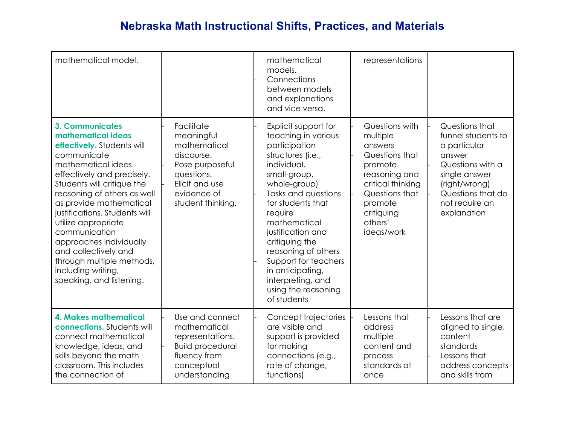| mathematical model.                                                                                                                                                                                                                                                                                                                                                                                                                              |                                                                                                                                               | mathematical<br>models.<br>Connections<br>between models<br>and explanations<br>and vice versa.                                                                                                                                                                                                                                                                              | representations                                                                                                                                                              |                                                                                                                                                                            |
|--------------------------------------------------------------------------------------------------------------------------------------------------------------------------------------------------------------------------------------------------------------------------------------------------------------------------------------------------------------------------------------------------------------------------------------------------|-----------------------------------------------------------------------------------------------------------------------------------------------|------------------------------------------------------------------------------------------------------------------------------------------------------------------------------------------------------------------------------------------------------------------------------------------------------------------------------------------------------------------------------|------------------------------------------------------------------------------------------------------------------------------------------------------------------------------|----------------------------------------------------------------------------------------------------------------------------------------------------------------------------|
| <b>3. Communicates</b><br>mathematical ideas<br>effectively. Students will<br>communicate<br>mathematical ideas<br>effectively and precisely.<br>Students will critique the<br>reasoning of others as well<br>as provide mathematical<br>justifications. Students will<br>utilize appropriate<br>communication<br>approaches individually<br>and collectively and<br>through multiple methods,<br>including writing,<br>speaking, and listening. | Facilitate<br>meaningful<br>mathematical<br>discourse.<br>Pose purposeful<br>questions.<br>Elicit and use<br>evidence of<br>student thinking. | Explicit support for<br>teaching in various<br>participation<br>structures (i.e.,<br>individual,<br>small-group,<br>whole-group)<br>Tasks and questions<br>for students that<br>require<br>mathematical<br>justification and<br>critiquing the<br>reasoning of others<br>Support for teachers<br>in anticipating,<br>interpreting, and<br>using the reasoning<br>of students | Questions with<br>multiple<br>answers<br>Questions that<br>promote<br>reasoning and<br>critical thinking<br>Questions that<br>promote<br>critiquing<br>others'<br>ideas/work | Questions that<br>funnel students to<br>a particular<br>answer<br>Questions with a<br>single answer<br>(right/wrong)<br>Questions that do<br>not require an<br>explanation |
| <b>4. Makes mathematical</b><br>connections. Students will<br>connect mathematical<br>knowledge, ideas, and<br>skills beyond the math<br>classroom. This includes<br>the connection of                                                                                                                                                                                                                                                           | Use and connect<br>mathematical<br>representations.<br><b>Build procedural</b><br>fluency from<br>conceptual<br>understanding                 | Concept trajectories<br>are visible and<br>support is provided<br>for making<br>connections (e.g.,<br>rate of change,<br>functions)                                                                                                                                                                                                                                          | Lessons that<br>address<br>multiple<br>content and<br>process<br>standards at<br>once                                                                                        | Lessons that are<br>aligned to single,<br>content<br>standards<br>Lessons that<br>address concepts<br>and skills from                                                      |